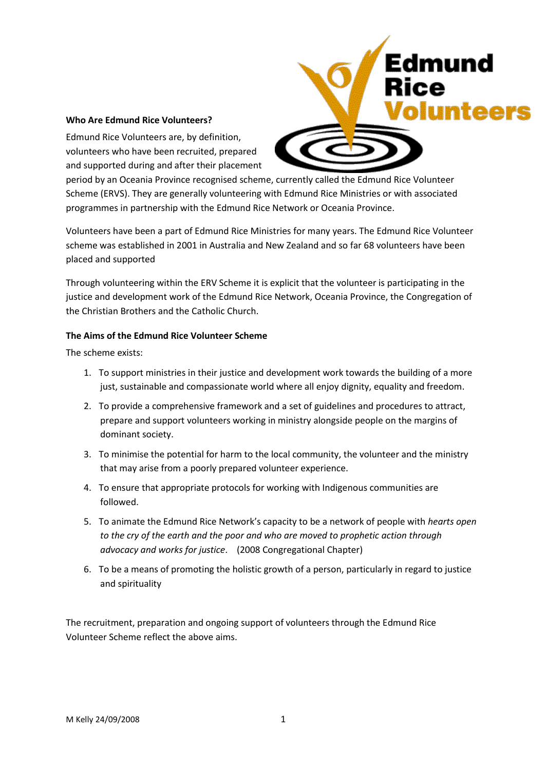#### **Who Are Edmund Rice Volunteers?**

Edmund Rice Volunteers are, by definition, volunteers who have been recruited, prepared and supported during and after their placement



Edmund

period by an Oceania Province recognised scheme, currently called the Edmund Rice Volunteer Scheme (ERVS). They are generally volunteering with Edmund Rice Ministries or with associated programmes in partnership with the Edmund Rice Network or Oceania Province.

Volunteers have been a part of Edmund Rice Ministries for many years. The Edmund Rice Volunteer scheme was established in 2001 in Australia and New Zealand and so far 68 volunteers have been placed and supported

Through volunteering within the ERV Scheme it is explicit that the volunteer is participating in the justice and development work of the Edmund Rice Network, Oceania Province, the Congregation of the Christian Brothers and the Catholic Church.

# **The Aims of the Edmund Rice Volunteer Scheme**

The scheme exists:

- 1. To support ministries in their justice and development work towards the building of a more just, sustainable and compassionate world where all enjoy dignity, equality and freedom.
- 2. To provide a comprehensive framework and a set of guidelines and procedures to attract, prepare and support volunteers working in ministry alongside people on the margins of dominant society.
- 3. To minimise the potential for harm to the local community, the volunteer and the ministry that may arise from a poorly prepared volunteer experience.
- 4. To ensure that appropriate protocols for working with Indigenous communities are followed.
- 5. To animate the Edmund Rice Network's capacity to be a network of people with *hearts open to the cry of the earth and the poor and who are moved to prophetic action through advocacy and works for justice*. (2008 Congregational Chapter)
- 6. To be a means of promoting the holistic growth of a person, particularly in regard to justice and spirituality

The recruitment, preparation and ongoing support of volunteers through the Edmund Rice Volunteer Scheme reflect the above aims.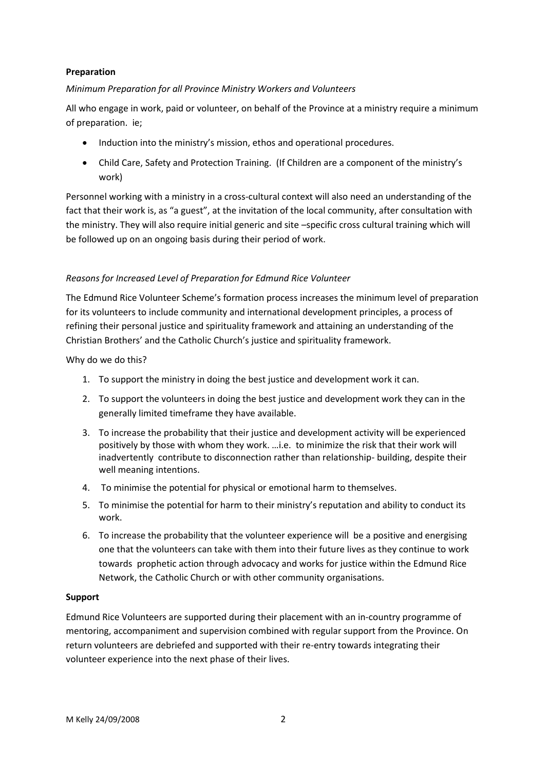# **Preparation**

# *Minimum Preparation for all Province Ministry Workers and Volunteers*

All who engage in work, paid or volunteer, on behalf of the Province at a ministry require a minimum of preparation. ie;

- Induction into the ministry's mission, ethos and operational procedures.
- Child Care, Safety and Protection Training. (If Children are a component of the ministry's work)

Personnel working with a ministry in a cross-cultural context will also need an understanding of the fact that their work is, as "a guest", at the invitation of the local community, after consultation with the ministry. They will also require initial generic and site –specific cross cultural training which will be followed up on an ongoing basis during their period of work.

# *Reasons for Increased Level of Preparation for Edmund Rice Volunteer*

The Edmund Rice Volunteer Scheme's formation process increases the minimum level of preparation for its volunteers to include community and international development principles, a process of refining their personal justice and spirituality framework and attaining an understanding of the Christian Brothers' and the Catholic Church's justice and spirituality framework.

Why do we do this?

- 1. To support the ministry in doing the best justice and development work it can.
- 2. To support the volunteers in doing the best justice and development work they can in the generally limited timeframe they have available.
- 3. To increase the probability that their justice and development activity will be experienced positively by those with whom they work. …i.e. to minimize the risk that their work will inadvertently contribute to disconnection rather than relationship- building, despite their well meaning intentions.
- 4. To minimise the potential for physical or emotional harm to themselves.
- 5. To minimise the potential for harm to their ministry's reputation and ability to conduct its work.
- 6. To increase the probability that the volunteer experience will be a positive and energising one that the volunteers can take with them into their future lives as they continue to work towards prophetic action through advocacy and works for justice within the Edmund Rice Network, the Catholic Church or with other community organisations.

## **Support**

Edmund Rice Volunteers are supported during their placement with an in-country programme of mentoring, accompaniment and supervision combined with regular support from the Province. On return volunteers are debriefed and supported with their re-entry towards integrating their volunteer experience into the next phase of their lives.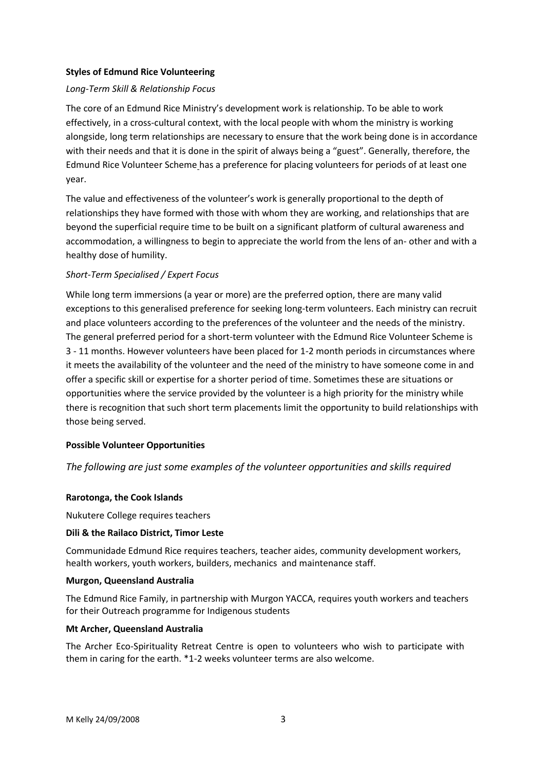## **Styles of Edmund Rice Volunteering**

# *Long-Term Skill & Relationship Focus*

The core of an Edmund Rice Ministry's development work is relationship. To be able to work effectively, in a cross-cultural context, with the local people with whom the ministry is working alongside, long term relationships are necessary to ensure that the work being done is in accordance with their needs and that it is done in the spirit of always being a "guest". Generally, therefore, the Edmund Rice Volunteer Scheme has a preference for placing volunteers for periods of at least one year.

The value and effectiveness of the volunteer's work is generally proportional to the depth of relationships they have formed with those with whom they are working, and relationships that are beyond the superficial require time to be built on a significant platform of cultural awareness and accommodation, a willingness to begin to appreciate the world from the lens of an- other and with a healthy dose of humility.

# *Short-Term Specialised / Expert Focus*

While long term immersions (a year or more) are the preferred option, there are many valid exceptions to this generalised preference for seeking long-term volunteers. Each ministry can recruit and place volunteers according to the preferences of the volunteer and the needs of the ministry. The general preferred period for a short-term volunteer with the Edmund Rice Volunteer Scheme is 3 - 11 months. However volunteers have been placed for 1-2 month periods in circumstances where it meets the availability of the volunteer and the need of the ministry to have someone come in and offer a specific skill or expertise for a shorter period of time. Sometimes these are situations or opportunities where the service provided by the volunteer is a high priority for the ministry while there is recognition that such short term placements limit the opportunity to build relationships with those being served.

## **Possible Volunteer Opportunities**

*The following are just some examples of the volunteer opportunities and skills required*

## **Rarotonga, the Cook Islands**

Nukutere College requires teachers

## **Dili & the Railaco District, Timor Leste**

Communidade Edmund Rice requires teachers, teacher aides, community development workers, health workers, youth workers, builders, mechanics and maintenance staff.

#### **Murgon, Queensland Australia**

The Edmund Rice Family, in partnership with Murgon YACCA, requires youth workers and teachers for their Outreach programme for Indigenous students

## **Mt Archer, Queensland Australia**

The Archer Eco-Spirituality Retreat Centre is open to volunteers who wish to participate with them in caring for the earth. \*1-2 weeks volunteer terms are also welcome.